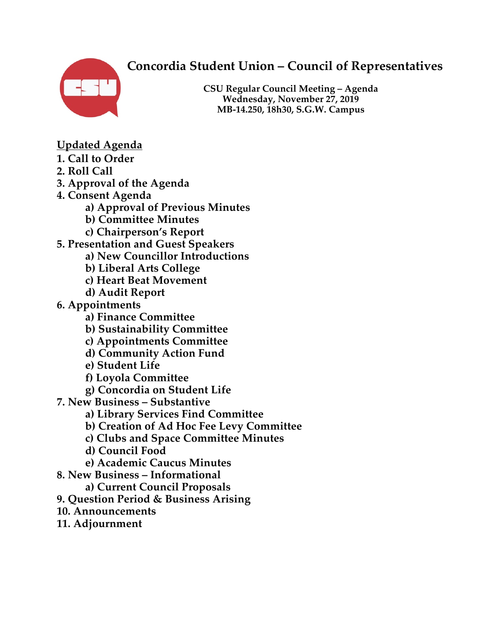# **Concordia Student Union – Council of Representatives**



**CSU Regular Council Meeting – Agenda Wednesday, November 27, 2019 MB-14.250, 18h30, S.G.W. Campus**

- **Updated Agenda**
- **1. Call to Order**
- **2. Roll Call**
- **3. Approval of the Agenda**
- **4. Consent Agenda** 
	- **a) Approval of Previous Minutes**
	- **b) Committee Minutes**
	- **c) Chairperson's Report**
- **5. Presentation and Guest Speakers** 
	- **a) New Councillor Introductions**
	- **b) Liberal Arts College**
	- **c) Heart Beat Movement**
	- **d) Audit Report**
- **6. Appointments** 
	- **a) Finance Committee**
	- **b) Sustainability Committee**
	- **c) Appointments Committee**
	- **d) Community Action Fund**
	- **e) Student Life**
	- **f) Loyola Committee**
	- **g) Concordia on Student Life**
- **7. New Business – Substantive** 
	- **a) Library Services Find Committee**
	- **b) Creation of Ad Hoc Fee Levy Committee**
	- **c) Clubs and Space Committee Minutes**
	- **d) Council Food**
	- **e) Academic Caucus Minutes**
- **8. New Business – Informational** 
	- **a) Current Council Proposals**
- **9. Question Period & Business Arising**
- **10. Announcements**
- **11. Adjournment**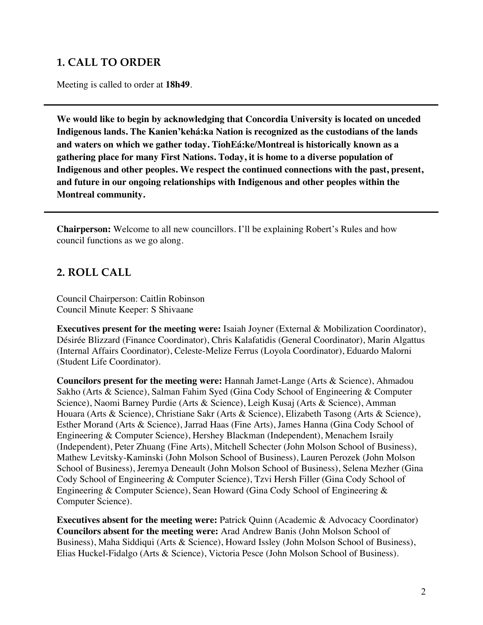# **1. CALL TO ORDER**

Meeting is called to order at **18h49**.

**We would like to begin by acknowledging that Concordia University is located on unceded Indigenous lands. The Kanien'kehá:ka Nation is recognized as the custodians of the lands and waters on which we gather today. TiohEá:ke/Montreal is historically known as a gathering place for many First Nations. Today, it is home to a diverse population of Indigenous and other peoples. We respect the continued connections with the past, present, and future in our ongoing relationships with Indigenous and other peoples within the Montreal community.**

**Chairperson:** Welcome to all new councillors. I'll be explaining Robert's Rules and how council functions as we go along.

#### **2. ROLL CALL**

Council Chairperson: Caitlin Robinson Council Minute Keeper: S Shivaane

**Executives present for the meeting were:** Isaiah Joyner (External & Mobilization Coordinator), Désirée Blizzard (Finance Coordinator), Chris Kalafatidis (General Coordinator), Marin Algattus (Internal Affairs Coordinator), Celeste-Melize Ferrus (Loyola Coordinator), Eduardo Malorni (Student Life Coordinator).

**Councilors present for the meeting were:** Hannah Jamet-Lange (Arts & Science), Ahmadou Sakho (Arts & Science), Salman Fahim Syed (Gina Cody School of Engineering & Computer Science), Naomi Barney Purdie (Arts & Science), Leigh Kusaj (Arts & Science), Amman Houara (Arts & Science), Christiane Sakr (Arts & Science), Elizabeth Tasong (Arts & Science), Esther Morand (Arts & Science), Jarrad Haas (Fine Arts), James Hanna (Gina Cody School of Engineering & Computer Science), Hershey Blackman (Independent), Menachem Israily (Independent), Peter Zhuang (Fine Arts), Mitchell Schecter (John Molson School of Business), Mathew Levitsky-Kaminski (John Molson School of Business), Lauren Perozek (John Molson School of Business), Jeremya Deneault (John Molson School of Business), Selena Mezher (Gina Cody School of Engineering & Computer Science), Tzvi Hersh Filler (Gina Cody School of Engineering & Computer Science), Sean Howard (Gina Cody School of Engineering & Computer Science).

**Executives absent for the meeting were:** Patrick Quinn (Academic & Advocacy Coordinator) **Councilors absent for the meeting were:** Arad Andrew Banis (John Molson School of Business), Maha Siddiqui (Arts & Science), Howard Issley (John Molson School of Business), Elias Huckel-Fidalgo (Arts & Science), Victoria Pesce (John Molson School of Business).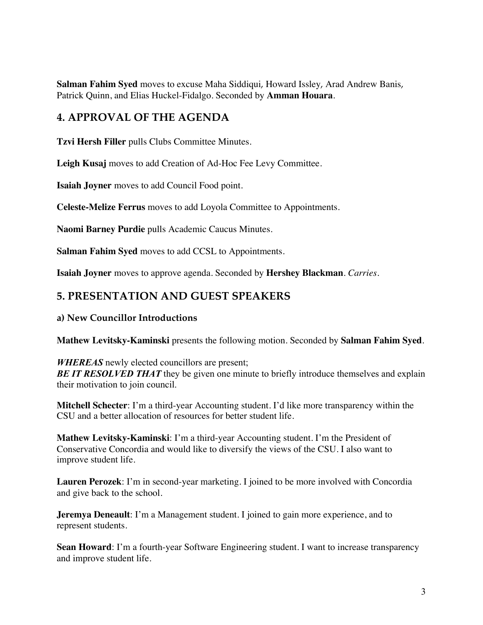**Salman Fahim Syed** moves to excuse Maha Siddiqui, Howard Issley, Arad Andrew Banis, Patrick Quinn, and Elias Huckel-Fidalgo. Seconded by **Amman Houara**.

## **4. APPROVAL OF THE AGENDA**

**Tzvi Hersh Filler** pulls Clubs Committee Minutes.

**Leigh Kusaj** moves to add Creation of Ad-Hoc Fee Levy Committee.

**Isaiah Joyner** moves to add Council Food point.

**Celeste-Melize Ferrus** moves to add Loyola Committee to Appointments.

**Naomi Barney Purdie** pulls Academic Caucus Minutes.

**Salman Fahim Syed** moves to add CCSL to Appointments.

**Isaiah Joyner** moves to approve agenda. Seconded by **Hershey Blackman**. *Carries.*

## **5. PRESENTATION AND GUEST SPEAKERS**

#### **a) New Councillor Introductions**

**Mathew Levitsky-Kaminski** presents the following motion. Seconded by **Salman Fahim Syed**.

*WHEREAS* newly elected councillors are present; **BE IT RESOLVED THAT** they be given one minute to briefly introduce themselves and explain their motivation to join council.

**Mitchell Schecter**: I'm a third-year Accounting student. I'd like more transparency within the CSU and a better allocation of resources for better student life.

**Mathew Levitsky-Kaminski**: I'm a third-year Accounting student. I'm the President of Conservative Concordia and would like to diversify the views of the CSU. I also want to improve student life.

**Lauren Perozek**: I'm in second-year marketing. I joined to be more involved with Concordia and give back to the school.

**Jeremya Deneault**: I'm a Management student. I joined to gain more experience, and to represent students.

**Sean Howard:** I'm a fourth-year Software Engineering student. I want to increase transparency and improve student life.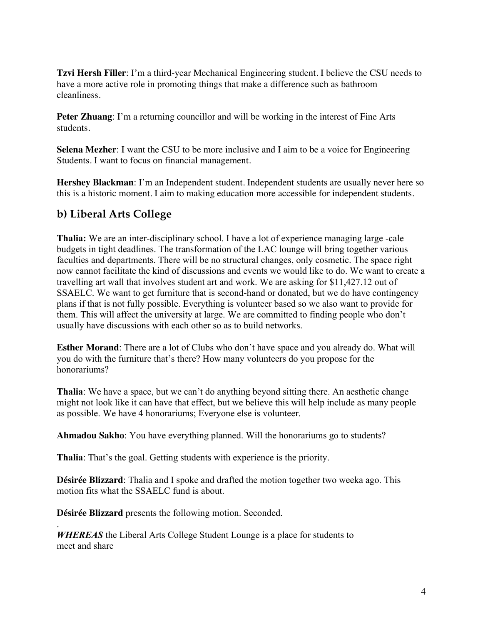**Tzvi Hersh Filler**: I'm a third-year Mechanical Engineering student. I believe the CSU needs to have a more active role in promoting things that make a difference such as bathroom cleanliness.

**Peter Zhuang**: I'm a returning councillor and will be working in the interest of Fine Arts students.

**Selena Mezher**: I want the CSU to be more inclusive and I aim to be a voice for Engineering Students. I want to focus on financial management.

**Hershey Blackman**: I'm an Independent student. Independent students are usually never here so this is a historic moment. I aim to making education more accessible for independent students.

# **b) Liberal Arts College**

**Thalia:** We are an inter-disciplinary school. I have a lot of experience managing large -cale budgets in tight deadlines. The transformation of the LAC lounge will bring together various faculties and departments. There will be no structural changes, only cosmetic. The space right now cannot facilitate the kind of discussions and events we would like to do. We want to create a travelling art wall that involves student art and work. We are asking for \$11,427.12 out of SSAELC. We want to get furniture that is second-hand or donated, but we do have contingency plans if that is not fully possible. Everything is volunteer based so we also want to provide for them. This will affect the university at large. We are committed to finding people who don't usually have discussions with each other so as to build networks.

**Esther Morand**: There are a lot of Clubs who don't have space and you already do. What will you do with the furniture that's there? How many volunteers do you propose for the honorariums?

**Thalia**: We have a space, but we can't do anything beyond sitting there. An aesthetic change might not look like it can have that effect, but we believe this will help include as many people as possible. We have 4 honorariums; Everyone else is volunteer.

**Ahmadou Sakho**: You have everything planned. Will the honorariums go to students?

**Thalia**: That's the goal. Getting students with experience is the priority.

**Désirée Blizzard**: Thalia and I spoke and drafted the motion together two weeka ago. This motion fits what the SSAELC fund is about.

**Désirée Blizzard** presents the following motion. Seconded.

.

*WHEREAS* the Liberal Arts College Student Lounge is a place for students to meet and share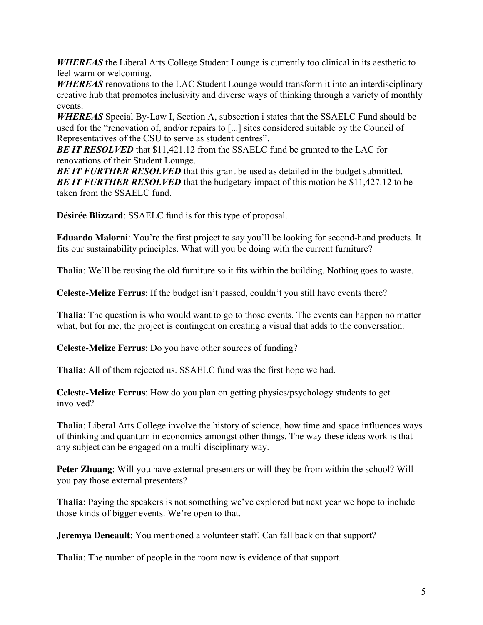*WHEREAS* the Liberal Arts College Student Lounge is currently too clinical in its aesthetic to feel warm or welcoming.

*WHEREAS* renovations to the LAC Student Lounge would transform it into an interdisciplinary creative hub that promotes inclusivity and diverse ways of thinking through a variety of monthly events.

*WHEREAS* Special By-Law I, Section A, subsection i states that the SSAELC Fund should be used for the "renovation of, and/or repairs to [...] sites considered suitable by the Council of Representatives of the CSU to serve as student centres".

**BE IT RESOLVED** that \$11,421.12 from the SSAELC fund be granted to the LAC for renovations of their Student Lounge.

**BE IT FURTHER RESOLVED** that this grant be used as detailed in the budget submitted. **BE IT FURTHER RESOLVED** that the budgetary impact of this motion be \$11,427.12 to be taken from the SSAELC fund.

**Désirée Blizzard**: SSAELC fund is for this type of proposal.

**Eduardo Malorni**: You're the first project to say you'll be looking for second-hand products. It fits our sustainability principles. What will you be doing with the current furniture?

**Thalia**: We'll be reusing the old furniture so it fits within the building. Nothing goes to waste.

**Celeste-Melize Ferrus**: If the budget isn't passed, couldn't you still have events there?

**Thalia**: The question is who would want to go to those events. The events can happen no matter what, but for me, the project is contingent on creating a visual that adds to the conversation.

**Celeste-Melize Ferrus**: Do you have other sources of funding?

**Thalia**: All of them rejected us. SSAELC fund was the first hope we had.

**Celeste-Melize Ferrus**: How do you plan on getting physics/psychology students to get involved?

**Thalia**: Liberal Arts College involve the history of science, how time and space influences ways of thinking and quantum in economics amongst other things. The way these ideas work is that any subject can be engaged on a multi-disciplinary way.

**Peter Zhuang**: Will you have external presenters or will they be from within the school? Will you pay those external presenters?

**Thalia**: Paying the speakers is not something we've explored but next year we hope to include those kinds of bigger events. We're open to that.

**Jeremya Deneault**: You mentioned a volunteer staff. Can fall back on that support?

**Thalia**: The number of people in the room now is evidence of that support.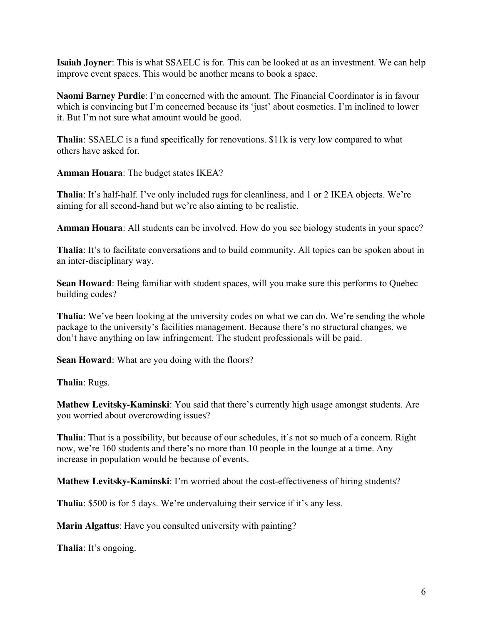**Isaiah Joyner**: This is what SSAELC is for. This can be looked at as an investment. We can help improve event spaces. This would be another means to book a space.

**Naomi Barney Purdie**: I'm concerned with the amount. The Financial Coordinator is in favour which is convincing but I'm concerned because its 'just' about cosmetics. I'm inclined to lower it. But I'm not sure what amount would be good.

**Thalia**: SSAELC is a fund specifically for renovations. \$11k is very low compared to what others have asked for.

**Amman Houara**: The budget states IKEA?

**Thalia**: It's half-half. I've only included rugs for cleanliness, and 1 or 2 IKEA objects. We're aiming for all second-hand but we're also aiming to be realistic.

**Amman Houara**: All students can be involved. How do you see biology students in your space?

**Thalia**: It's to facilitate conversations and to build community. All topics can be spoken about in an inter-disciplinary way.

**Sean Howard**: Being familiar with student spaces, will you make sure this performs to Quebec building codes?

**Thalia**: We've been looking at the university codes on what we can do. We're sending the whole package to the university's facilities management. Because there's no structural changes, we don't have anything on law infringement. The student professionals will be paid.

**Sean Howard**: What are you doing with the floors?

**Thalia**: Rugs.

**Mathew Levitsky-Kaminski**: You said that there's currently high usage amongst students. Are you worried about overcrowding issues?

**Thalia**: That is a possibility, but because of our schedules, it's not so much of a concern. Right now, we're 160 students and there's no more than 10 people in the lounge at a time. Any increase in population would be because of events.

**Mathew Levitsky-Kaminski**: I'm worried about the cost-effectiveness of hiring students?

**Thalia**: \$500 is for 5 days. We're undervaluing their service if it's any less.

**Marin Algattus**: Have you consulted university with painting?

**Thalia**: It's ongoing.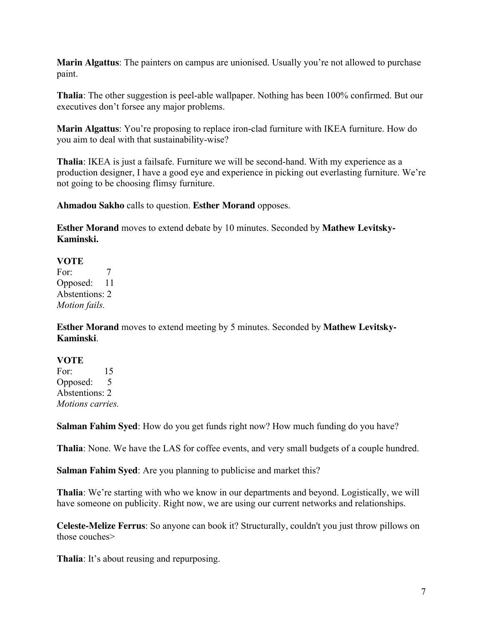**Marin Algattus**: The painters on campus are unionised. Usually you're not allowed to purchase paint.

**Thalia**: The other suggestion is peel-able wallpaper. Nothing has been 100% confirmed. But our executives don't forsee any major problems.

**Marin Algattus**: You're proposing to replace iron-clad furniture with IKEA furniture. How do you aim to deal with that sustainability-wise?

**Thalia**: IKEA is just a failsafe. Furniture we will be second-hand. With my experience as a production designer, I have a good eye and experience in picking out everlasting furniture. We're not going to be choosing flimsy furniture.

**Ahmadou Sakho** calls to question. **Esther Morand** opposes.

**Esther Morand** moves to extend debate by 10 minutes. Seconded by **Mathew Levitsky-Kaminski.**

#### **VOTE**

For: 7 Opposed: 11 Abstentions: 2 *Motion fails.*

**Esther Morand** moves to extend meeting by 5 minutes. Seconded by **Mathew Levitsky-Kaminski**.

#### **VOTE**

For: 15 Opposed: 5 Abstentions: 2 *Motions carries.*

**Salman Fahim Syed**: How do you get funds right now? How much funding do you have?

**Thalia**: None. We have the LAS for coffee events, and very small budgets of a couple hundred.

**Salman Fahim Syed**: Are you planning to publicise and market this?

**Thalia**: We're starting with who we know in our departments and beyond. Logistically, we will have someone on publicity. Right now, we are using our current networks and relationships.

**Celeste-Melize Ferrus**: So anyone can book it? Structurally, couldn't you just throw pillows on those couches>

**Thalia**: It's about reusing and repurposing.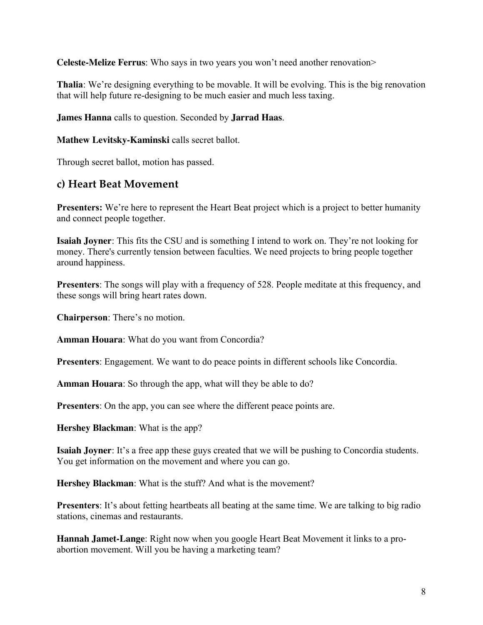**Celeste-Melize Ferrus**: Who says in two years you won't need another renovation>

**Thalia**: We're designing everything to be movable. It will be evolving. This is the big renovation that will help future re-designing to be much easier and much less taxing.

**James Hanna** calls to question. Seconded by **Jarrad Haas**.

#### **Mathew Levitsky-Kaminski** calls secret ballot.

Through secret ballot, motion has passed.

#### **c) Heart Beat Movement**

**Presenters:** We're here to represent the Heart Beat project which is a project to better humanity and connect people together.

**Isaiah Joyner**: This fits the CSU and is something I intend to work on. They're not looking for money. There's currently tension between faculties. We need projects to bring people together around happiness.

**Presenters**: The songs will play with a frequency of 528. People meditate at this frequency, and these songs will bring heart rates down.

**Chairperson**: There's no motion.

**Amman Houara**: What do you want from Concordia?

**Presenters**: Engagement. We want to do peace points in different schools like Concordia.

**Amman Houara**: So through the app, what will they be able to do?

**Presenters**: On the app, you can see where the different peace points are.

**Hershey Blackman**: What is the app?

**Isaiah Joyner**: It's a free app these guys created that we will be pushing to Concordia students. You get information on the movement and where you can go.

**Hershey Blackman**: What is the stuff? And what is the movement?

**Presenters**: It's about fetting heartbeats all beating at the same time. We are talking to big radio stations, cinemas and restaurants.

**Hannah Jamet-Lange**: Right now when you google Heart Beat Movement it links to a proabortion movement. Will you be having a marketing team?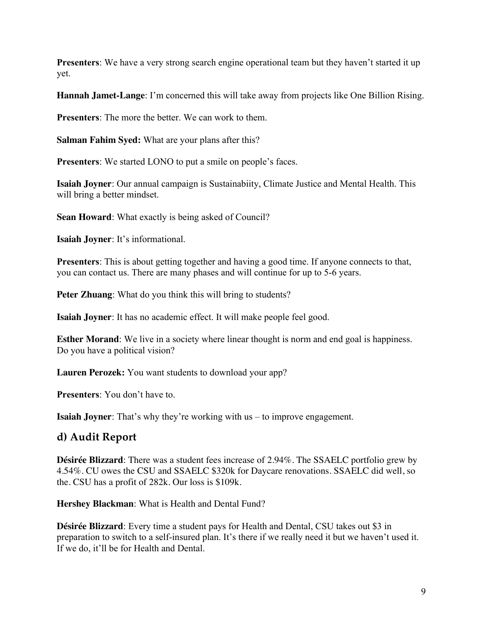**Presenters**: We have a very strong search engine operational team but they haven't started it up yet.

**Hannah Jamet-Lange**: I'm concerned this will take away from projects like One Billion Rising.

**Presenters**: The more the better. We can work to them.

**Salman Fahim Syed:** What are your plans after this?

**Presenters:** We started LONO to put a smile on people's faces.

**Isaiah Joyner**: Our annual campaign is Sustainabiity, Climate Justice and Mental Health. This will bring a better mindset.

**Sean Howard**: What exactly is being asked of Council?

**Isaiah Joyner**: It's informational.

**Presenters**: This is about getting together and having a good time. If anyone connects to that, you can contact us. There are many phases and will continue for up to 5-6 years.

**Peter Zhuang**: What do you think this will bring to students?

**Isaiah Joyner**: It has no academic effect. It will make people feel good.

**Esther Morand:** We live in a society where linear thought is norm and end goal is happiness. Do you have a political vision?

**Lauren Perozek:** You want students to download your app?

**Presenters**: You don't have to.

**Isaiah Joyner**: That's why they're working with us – to improve engagement.

### **d) Audit Report**

**Désirée Blizzard**: There was a student fees increase of 2.94%. The SSAELC portfolio grew by 4.54%. CU owes the CSU and SSAELC \$320k for Daycare renovations. SSAELC did well, so the. CSU has a profit of 282k. Our loss is \$109k.

**Hershey Blackman**: What is Health and Dental Fund?

**Désirée Blizzard**: Every time a student pays for Health and Dental, CSU takes out \$3 in preparation to switch to a self-insured plan. It's there if we really need it but we haven't used it. If we do, it'll be for Health and Dental.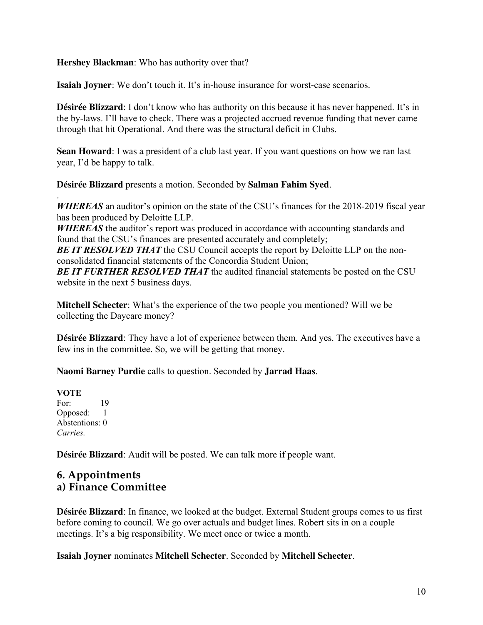**Hershey Blackman**: Who has authority over that?

**Isaiah Joyner**: We don't touch it. It's in-house insurance for worst-case scenarios.

**Désirée Blizzard**: I don't know who has authority on this because it has never happened. It's in the by-laws. I'll have to check. There was a projected accrued revenue funding that never came through that hit Operational. And there was the structural deficit in Clubs.

**Sean Howard**: I was a president of a club last year. If you want questions on how we ran last year, I'd be happy to talk.

**Désirée Blizzard** presents a motion. Seconded by **Salman Fahim Syed**.

*WHEREAS* an auditor's opinion on the state of the CSU's finances for the 2018-2019 fiscal year has been produced by Deloitte LLP.

*WHEREAS* the auditor's report was produced in accordance with accounting standards and found that the CSU's finances are presented accurately and completely;

**BE IT RESOLVED THAT** the CSU Council accepts the report by Deloitte LLP on the nonconsolidated financial statements of the Concordia Student Union;

*BE IT FURTHER RESOLVED THAT* the audited financial statements be posted on the CSU website in the next 5 business days.

**Mitchell Schecter**: What's the experience of the two people you mentioned? Will we be collecting the Daycare money?

**Désirée Blizzard**: They have a lot of experience between them. And yes. The executives have a few ins in the committee. So, we will be getting that money.

**Naomi Barney Purdie** calls to question. Seconded by **Jarrad Haas**.

**VOTE** For: 19 Opposed: 1 Abstentions: 0 *Carries.*

.

**Désirée Blizzard**: Audit will be posted. We can talk more if people want.

#### **6. Appointments a) Finance Committee**

**Désirée Blizzard**: In finance, we looked at the budget. External Student groups comes to us first before coming to council. We go over actuals and budget lines. Robert sits in on a couple meetings. It's a big responsibility. We meet once or twice a month.

**Isaiah Joyner** nominates **Mitchell Schecter**. Seconded by **Mitchell Schecter**.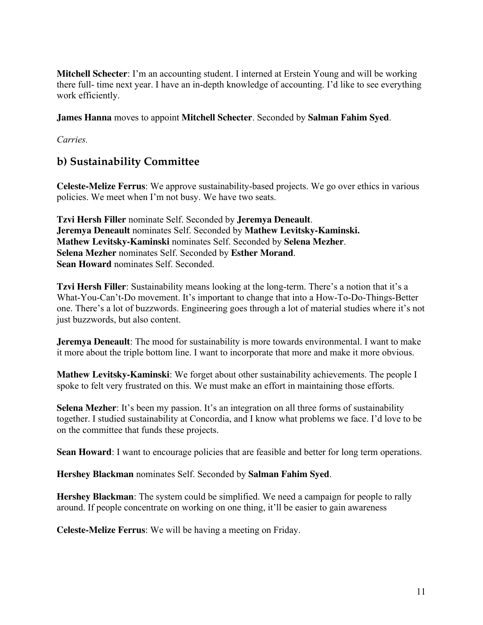**Mitchell Schecter**: I'm an accounting student. I interned at Erstein Young and will be working there full- time next year. I have an in-depth knowledge of accounting. I'd like to see everything work efficiently.

**James Hanna** moves to appoint **Mitchell Schecter**. Seconded by **Salman Fahim Syed**.

*Carries.*

## **b) Sustainability Committee**

**Celeste-Melize Ferrus**: We approve sustainability-based projects. We go over ethics in various policies. We meet when I'm not busy. We have two seats.

**Tzvi Hersh Filler** nominate Self. Seconded by **Jeremya Deneault**. **Jeremya Deneault** nominates Self. Seconded by **Mathew Levitsky-Kaminski. Mathew Levitsky-Kaminski** nominates Self. Seconded by **Selena Mezher**. **Selena Mezher** nominates Self. Seconded by **Esther Morand**. **Sean Howard** nominates Self. Seconded.

**Tzvi Hersh Filler**: Sustainability means looking at the long-term. There's a notion that it's a What-You-Can't-Do movement. It's important to change that into a How-To-Do-Things-Better one. There's a lot of buzzwords. Engineering goes through a lot of material studies where it's not just buzzwords, but also content.

**Jeremya Deneault**: The mood for sustainability is more towards environmental. I want to make it more about the triple bottom line. I want to incorporate that more and make it more obvious.

**Mathew Levitsky-Kaminski**: We forget about other sustainability achievements. The people I spoke to felt very frustrated on this. We must make an effort in maintaining those efforts.

**Selena Mezher**: It's been my passion. It's an integration on all three forms of sustainability together. I studied sustainability at Concordia, and I know what problems we face. I'd love to be on the committee that funds these projects.

**Sean Howard:** I want to encourage policies that are feasible and better for long term operations.

**Hershey Blackman** nominates Self. Seconded by **Salman Fahim Syed**.

**Hershey Blackman**: The system could be simplified. We need a campaign for people to rally around. If people concentrate on working on one thing, it'll be easier to gain awareness

**Celeste-Melize Ferrus**: We will be having a meeting on Friday.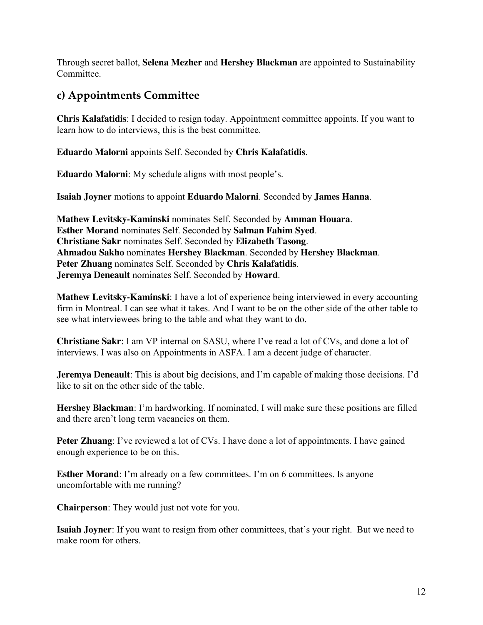Through secret ballot, **Selena Mezher** and **Hershey Blackman** are appointed to Sustainability Committee.

# **c) Appointments Committee**

**Chris Kalafatidis**: I decided to resign today. Appointment committee appoints. If you want to learn how to do interviews, this is the best committee.

**Eduardo Malorni** appoints Self. Seconded by **Chris Kalafatidis**.

**Eduardo Malorni**: My schedule aligns with most people's.

**Isaiah Joyner** motions to appoint **Eduardo Malorni**. Seconded by **James Hanna**.

**Mathew Levitsky-Kaminski** nominates Self. Seconded by **Amman Houara**. **Esther Morand** nominates Self. Seconded by **Salman Fahim Syed**. **Christiane Sakr** nominates Self. Seconded by **Elizabeth Tasong**. **Ahmadou Sakho** nominates **Hershey Blackman**. Seconded by **Hershey Blackman**. **Peter Zhuang** nominates Self. Seconded by **Chris Kalafatidis**. **Jeremya Deneault** nominates Self. Seconded by **Howard**.

**Mathew Levitsky-Kaminski**: I have a lot of experience being interviewed in every accounting firm in Montreal. I can see what it takes. And I want to be on the other side of the other table to see what interviewees bring to the table and what they want to do.

**Christiane Sakr**: I am VP internal on SASU, where I've read a lot of CVs, and done a lot of interviews. I was also on Appointments in ASFA. I am a decent judge of character.

**Jeremya Deneault**: This is about big decisions, and I'm capable of making those decisions. I'd like to sit on the other side of the table.

**Hershey Blackman**: I'm hardworking. If nominated, I will make sure these positions are filled and there aren't long term vacancies on them.

**Peter Zhuang**: I've reviewed a lot of CVs. I have done a lot of appointments. I have gained enough experience to be on this.

**Esther Morand:** I'm already on a few committees. I'm on 6 committees. Is anyone uncomfortable with me running?

**Chairperson**: They would just not vote for you.

**Isaiah Joyner**: If you want to resign from other committees, that's your right. But we need to make room for others.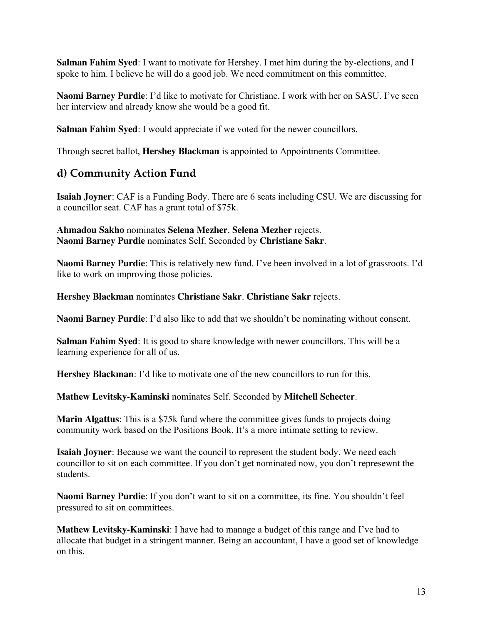**Salman Fahim Syed**: I want to motivate for Hershey. I met him during the by-elections, and I spoke to him. I believe he will do a good job. We need commitment on this committee.

**Naomi Barney Purdie**: I'd like to motivate for Christiane. I work with her on SASU. I've seen her interview and already know she would be a good fit.

**Salman Fahim Syed**: I would appreciate if we voted for the newer councillors.

Through secret ballot, **Hershey Blackman** is appointed to Appointments Committee.

### **d) Community Action Fund**

**Isaiah Joyner**: CAF is a Funding Body. There are 6 seats including CSU. We are discussing for a councillor seat. CAF has a grant total of \$75k.

**Ahmadou Sakho** nominates **Selena Mezher**. **Selena Mezher** rejects. **Naomi Barney Purdie** nominates Self. Seconded by **Christiane Sakr**.

**Naomi Barney Purdie**: This is relatively new fund. I've been involved in a lot of grassroots. I'd like to work on improving those policies.

**Hershey Blackman** nominates **Christiane Sakr**. **Christiane Sakr** rejects.

**Naomi Barney Purdie**: I'd also like to add that we shouldn't be nominating without consent.

**Salman Fahim Syed**: It is good to share knowledge with newer councillors. This will be a learning experience for all of us.

**Hershey Blackman**: I'd like to motivate one of the new councillors to run for this.

**Mathew Levitsky-Kaminski** nominates Self. Seconded by **Mitchell Schecter**.

**Marin Algattus**: This is a \$75k fund where the committee gives funds to projects doing community work based on the Positions Book. It's a more intimate setting to review.

**Isaiah Joyner**: Because we want the council to represent the student body. We need each councillor to sit on each committee. If you don't get nominated now, you don't represewnt the students.

**Naomi Barney Purdie**: If you don't want to sit on a committee, its fine. You shouldn't feel pressured to sit on committees.

**Mathew Levitsky-Kaminski**: I have had to manage a budget of this range and I've had to allocate that budget in a stringent manner. Being an accountant, I have a good set of knowledge on this.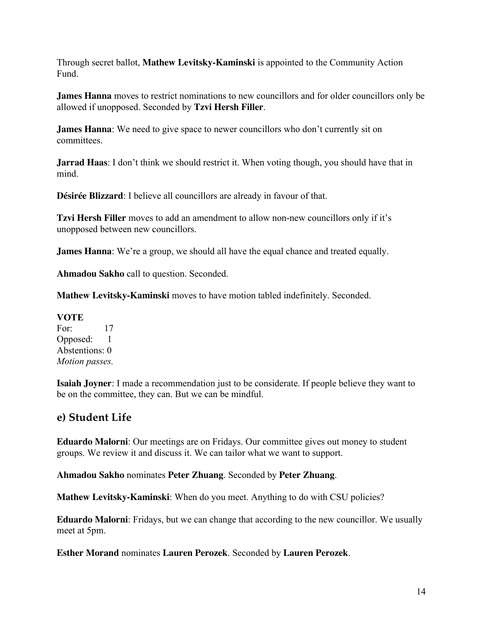Through secret ballot, **Mathew Levitsky-Kaminski** is appointed to the Community Action Fund.

**James Hanna** moves to restrict nominations to new councillors and for older councillors only be allowed if unopposed. Seconded by **Tzvi Hersh Filler**.

**James Hanna**: We need to give space to newer councillors who don't currently sit on committees.

**Jarrad Haas**: I don't think we should restrict it. When voting though, you should have that in mind.

**Désirée Blizzard**: I believe all councillors are already in favour of that.

**Tzvi Hersh Filler** moves to add an amendment to allow non-new councillors only if it's unopposed between new councillors.

**James Hanna**: We're a group, we should all have the equal chance and treated equally.

**Ahmadou Sakho** call to question. Seconded.

**Mathew Levitsky-Kaminski** moves to have motion tabled indefinitely. Seconded.

**VOTE** For: 17 Opposed: 1 Abstentions: 0 *Motion passes.* 

**Isaiah Joyner**: I made a recommendation just to be considerate. If people believe they want to be on the committee, they can. But we can be mindful.

### **e) Student Life**

**Eduardo Malorni**: Our meetings are on Fridays. Our committee gives out money to student groups. We review it and discuss it. We can tailor what we want to support.

**Ahmadou Sakho** nominates **Peter Zhuang**. Seconded by **Peter Zhuang**.

**Mathew Levitsky-Kaminski**: When do you meet. Anything to do with CSU policies?

**Eduardo Malorni**: Fridays, but we can change that according to the new councillor. We usually meet at 5pm.

**Esther Morand** nominates **Lauren Perozek**. Seconded by **Lauren Perozek**.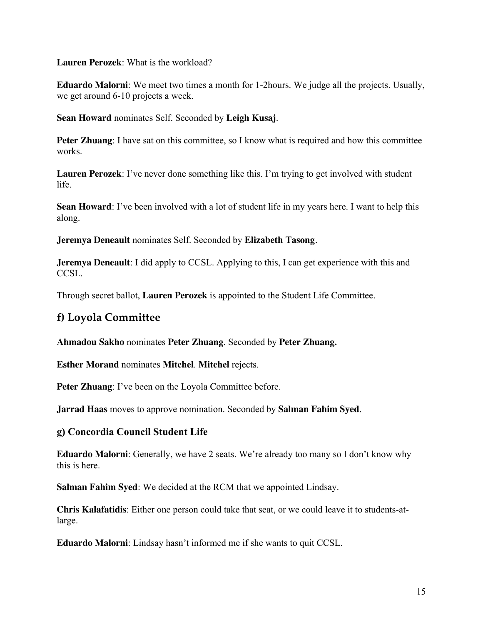**Lauren Perozek**: What is the workload?

**Eduardo Malorni**: We meet two times a month for 1-2hours. We judge all the projects. Usually, we get around 6-10 projects a week.

**Sean Howard** nominates Self. Seconded by **Leigh Kusaj**.

**Peter Zhuang**: I have sat on this committee, so I know what is required and how this committee works.

**Lauren Perozek**: I've never done something like this. I'm trying to get involved with student life.

**Sean Howard**: I've been involved with a lot of student life in my years here. I want to help this along.

**Jeremya Deneault** nominates Self. Seconded by **Elizabeth Tasong**.

**Jeremya Deneault**: I did apply to CCSL. Applying to this, I can get experience with this and CCSL.

Through secret ballot, **Lauren Perozek** is appointed to the Student Life Committee.

## **f) Loyola Committee**

**Ahmadou Sakho** nominates **Peter Zhuang**. Seconded by **Peter Zhuang.**

**Esther Morand** nominates **Mitchel**. **Mitchel** rejects.

**Peter Zhuang**: I've been on the Loyola Committee before.

**Jarrad Haas** moves to approve nomination. Seconded by **Salman Fahim Syed**.

#### **g) Concordia Council Student Life**

**Eduardo Malorni**: Generally, we have 2 seats. We're already too many so I don't know why this is here.

**Salman Fahim Syed**: We decided at the RCM that we appointed Lindsay.

**Chris Kalafatidis**: Either one person could take that seat, or we could leave it to students-atlarge.

**Eduardo Malorni**: Lindsay hasn't informed me if she wants to quit CCSL.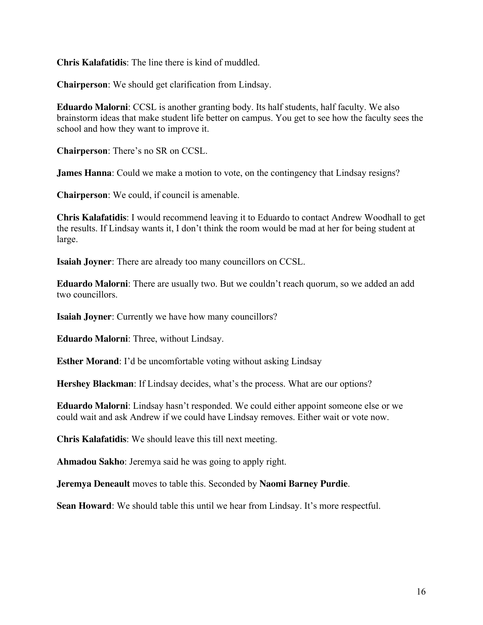**Chris Kalafatidis**: The line there is kind of muddled.

**Chairperson**: We should get clarification from Lindsay.

**Eduardo Malorni**: CCSL is another granting body. Its half students, half faculty. We also brainstorm ideas that make student life better on campus. You get to see how the faculty sees the school and how they want to improve it.

**Chairperson**: There's no SR on CCSL.

**James Hanna**: Could we make a motion to vote, on the contingency that Lindsay resigns?

**Chairperson**: We could, if council is amenable.

**Chris Kalafatidis**: I would recommend leaving it to Eduardo to contact Andrew Woodhall to get the results. If Lindsay wants it, I don't think the room would be mad at her for being student at large.

**Isaiah Joyner**: There are already too many councillors on CCSL.

**Eduardo Malorni**: There are usually two. But we couldn't reach quorum, so we added an add two councillors.

**Isaiah Joyner**: Currently we have how many councillors?

**Eduardo Malorni**: Three, without Lindsay.

**Esther Morand:** I'd be uncomfortable voting without asking Lindsay

**Hershey Blackman**: If Lindsay decides, what's the process. What are our options?

**Eduardo Malorni**: Lindsay hasn't responded. We could either appoint someone else or we could wait and ask Andrew if we could have Lindsay removes. Either wait or vote now.

**Chris Kalafatidis**: We should leave this till next meeting.

**Ahmadou Sakho**: Jeremya said he was going to apply right.

**Jeremya Deneault** moves to table this. Seconded by **Naomi Barney Purdie**.

**Sean Howard**: We should table this until we hear from Lindsay. It's more respectful.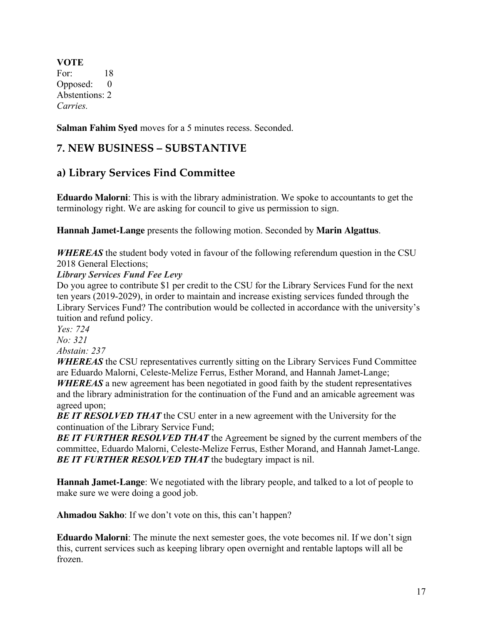**VOTE** For: 18 Opposed: 0 Abstentions: 2 *Carries.*

**Salman Fahim Syed** moves for a 5 minutes recess. Seconded.

## **7. NEW BUSINESS – SUBSTANTIVE**

## **a) Library Services Find Committee**

**Eduardo Malorni**: This is with the library administration. We spoke to accountants to get the terminology right. We are asking for council to give us permission to sign.

**Hannah Jamet-Lange** presents the following motion. Seconded by **Marin Algattus**.

*WHEREAS* the student body voted in favour of the following referendum question in the CSU 2018 General Elections;

#### *Library Services Fund Fee Levy*

Do you agree to contribute \$1 per credit to the CSU for the Library Services Fund for the next ten years (2019-2029), in order to maintain and increase existing services funded through the Library Services Fund? The contribution would be collected in accordance with the university's tuition and refund policy.

*Yes: 724*

*No: 321*

*Abstain: 237*

*WHEREAS* the CSU representatives currently sitting on the Library Services Fund Committee are Eduardo Malorni, Celeste-Melize Ferrus, Esther Morand, and Hannah Jamet-Lange; *WHEREAS* a new agreement has been negotiated in good faith by the student representatives and the library administration for the continuation of the Fund and an amicable agreement was agreed upon;

**BE IT RESOLVED THAT** the CSU enter in a new agreement with the University for the continuation of the Library Service Fund;

*BE IT FURTHER RESOLVED THAT* the Agreement be signed by the current members of the committee, Eduardo Malorni, Celeste-Melize Ferrus, Esther Morand, and Hannah Jamet-Lange. *BE IT FURTHER RESOLVED THAT* the budegtary impact is nil.

**Hannah Jamet-Lange**: We negotiated with the library people, and talked to a lot of people to make sure we were doing a good job.

**Ahmadou Sakho**: If we don't vote on this, this can't happen?

**Eduardo Malorni**: The minute the next semester goes, the vote becomes nil. If we don't sign this, current services such as keeping library open overnight and rentable laptops will all be frozen.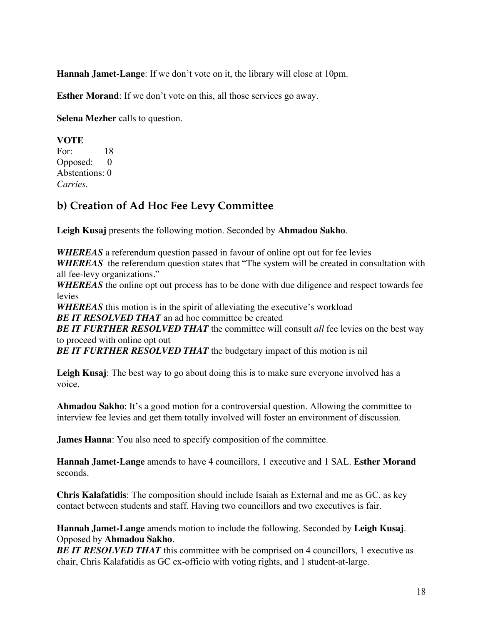**Hannah Jamet-Lange**: If we don't vote on it, the library will close at 10pm.

**Esther Morand**: If we don't vote on this, all those services go away.

**Selena Mezher** calls to question.

**VOTE**

For: 18 Opposed: 0 Abstentions: 0 *Carries.*

# **b) Creation of Ad Hoc Fee Levy Committee**

**Leigh Kusaj** presents the following motion. Seconded by **Ahmadou Sakho**.

*WHEREAS* a referendum question passed in favour of online opt out for fee levies *WHEREAS* the referendum question states that "The system will be created in consultation with all fee-levy organizations."

*WHEREAS* the online opt out process has to be done with due diligence and respect towards fee levies

*WHEREAS* this motion is in the spirit of alleviating the executive's workload

**BE IT RESOLVED THAT** an ad hoc committee be created

**BE IT FURTHER RESOLVED THAT** the committee will consult *all* fee levies on the best way to proceed with online opt out

**BE IT FURTHER RESOLVED THAT** the budgetary impact of this motion is nil

**Leigh Kusaj**: The best way to go about doing this is to make sure everyone involved has a voice.

**Ahmadou Sakho**: It's a good motion for a controversial question. Allowing the committee to interview fee levies and get them totally involved will foster an environment of discussion.

**James Hanna**: You also need to specify composition of the committee.

**Hannah Jamet-Lange** amends to have 4 councillors, 1 executive and 1 SAL. **Esther Morand** seconds.

**Chris Kalafatidis**: The composition should include Isaiah as External and me as GC, as key contact between students and staff. Having two councillors and two executives is fair.

**Hannah Jamet-Lange** amends motion to include the following. Seconded by **Leigh Kusaj**. Opposed by **Ahmadou Sakho**.

**BE IT RESOLVED THAT** this committee with be comprised on 4 councillors, 1 executive as chair, Chris Kalafatidis as GC ex-officio with voting rights, and 1 student-at-large.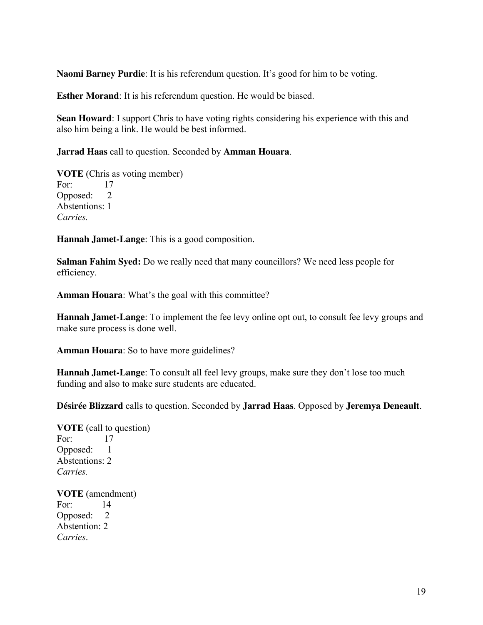**Naomi Barney Purdie**: It is his referendum question. It's good for him to be voting.

**Esther Morand**: It is his referendum question. He would be biased.

**Sean Howard**: I support Chris to have voting rights considering his experience with this and also him being a link. He would be best informed.

**Jarrad Haas** call to question. Seconded by **Amman Houara**.

**VOTE** (Chris as voting member) For: 17 Opposed: 2 Abstentions: 1 *Carries.*

**Hannah Jamet-Lange**: This is a good composition.

**Salman Fahim Syed:** Do we really need that many councillors? We need less people for efficiency.

**Amman Houara**: What's the goal with this committee?

**Hannah Jamet-Lange**: To implement the fee levy online opt out, to consult fee levy groups and make sure process is done well.

**Amman Houara**: So to have more guidelines?

**Hannah Jamet-Lange**: To consult all feel levy groups, make sure they don't lose too much funding and also to make sure students are educated.

**Désirée Blizzard** calls to question. Seconded by **Jarrad Haas**. Opposed by **Jeremya Deneault**.

**VOTE** (call to question) For: 17 Opposed: 1 Abstentions: 2 *Carries.* 

**VOTE** (amendment) For: 14 Opposed: 2 Abstention: 2 *Carries*.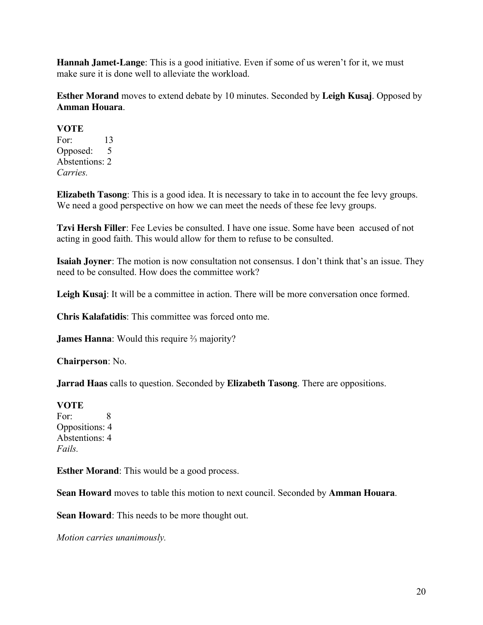**Hannah Jamet-Lange**: This is a good initiative. Even if some of us weren't for it, we must make sure it is done well to alleviate the workload.

**Esther Morand** moves to extend debate by 10 minutes. Seconded by **Leigh Kusaj**. Opposed by **Amman Houara**.

#### **VOTE**

For: 13 Opposed: 5 Abstentions: 2 *Carries.*

**Elizabeth Tasong**: This is a good idea. It is necessary to take in to account the fee levy groups. We need a good perspective on how we can meet the needs of these fee levy groups.

**Tzvi Hersh Filler**: Fee Levies be consulted. I have one issue. Some have been accused of not acting in good faith. This would allow for them to refuse to be consulted.

**Isaiah Joyner**: The motion is now consultation not consensus. I don't think that's an issue. They need to be consulted. How does the committee work?

Leigh Kusaj: It will be a committee in action. There will be more conversation once formed.

**Chris Kalafatidis**: This committee was forced onto me.

**James Hanna**: Would this require ⅔ majority?

**Chairperson**: No.

**Jarrad Haas** calls to question. Seconded by **Elizabeth Tasong**. There are oppositions.

# **VOTE**

For: 8 Oppositions: 4 Abstentions: 4 *Fails.*

**Esther Morand**: This would be a good process.

**Sean Howard** moves to table this motion to next council. Seconded by **Amman Houara**.

**Sean Howard**: This needs to be more thought out.

*Motion carries unanimously.*